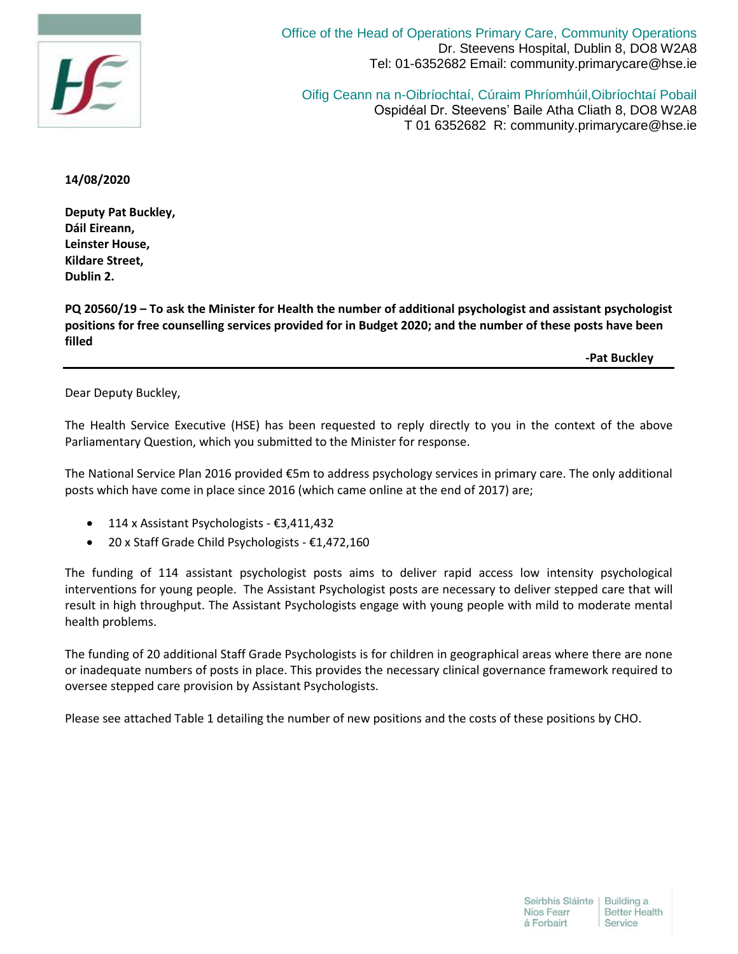

Office of the Head of Operations Primary Care, Community Operations Dr. Steevens Hospital, Dublin 8, DO8 W2A8 Tel: 01-6352682 Email: community.primarycare@hse.ie

Oifig Ceann na n-Oibríochtaí, Cúraim Phríomhúil,Oibríochtaí Pobail Ospidéal Dr. Steevens' Baile Atha Cliath 8, DO8 W2A8 T 01 6352682 R: community.primarycare@hse.ie

## **14/08/2020**

**Deputy Pat Buckley, Dáil Eireann, Leinster House, Kildare Street, Dublin 2.**

**PQ 20560/19 – To ask the Minister for Health the number of additional psychologist and assistant psychologist positions for free counselling services provided for in Budget 2020; and the number of these posts have been filled**

**-Pat Buckley**

Dear Deputy Buckley,

The Health Service Executive (HSE) has been requested to reply directly to you in the context of the above Parliamentary Question, which you submitted to the Minister for response.

The National Service Plan 2016 provided €5m to address psychology services in primary care. The only additional posts which have come in place since 2016 (which came online at the end of 2017) are;

- 114 x Assistant Psychologists €3,411,432
- 20 x Staff Grade Child Psychologists €1,472,160

The funding of 114 assistant psychologist posts aims to deliver rapid access low intensity psychological interventions for young people. The Assistant Psychologist posts are necessary to deliver stepped care that will result in high throughput. The Assistant Psychologists engage with young people with mild to moderate mental health problems.

The funding of 20 additional Staff Grade Psychologists is for children in geographical areas where there are none or inadequate numbers of posts in place. This provides the necessary clinical governance framework required to oversee stepped care provision by Assistant Psychologists.

Please see attached Table 1 detailing the number of new positions and the costs of these positions by CHO.